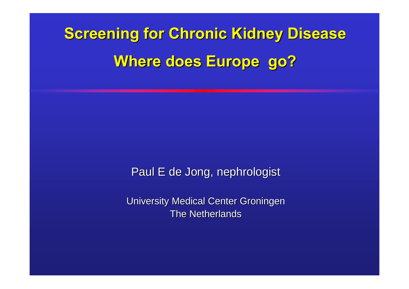# **Screening for Chronic Kidney Disease Where does Europe go?**

Paul E de Jong, nephrologist

University Medical Center Groningen The Netherlands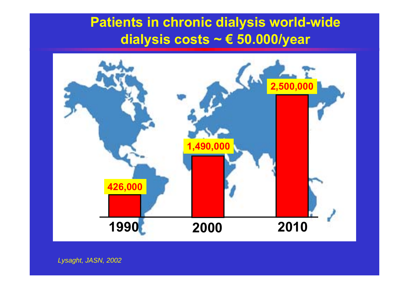# **Patients in chronic dialysis world-wide dialysis costs ~ € 50.000/year**



*Lysaght, JASN, 2002*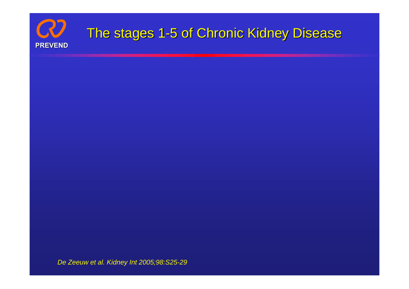

*De Zeeuw et al. Kidney Int 2005;98:S25-29*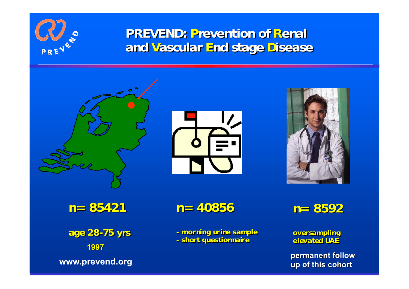

### **PREVEND: PREVEND: Prevention of revention of Renal and Vascular End stage Disease**







**n= 85421 n= 85421** 

**age 28 age 28--75 yrs 75 yrs 1997**

**n= 40856 n= 40856**

**- - morning urine sample morning urine sample - - short questionnaire short questionnaire**

**n= 8592 n= 8592**

**oversampling oversampling elevated UAE elevated UAE**

**www.prevend.org permanent follow up of this cohort**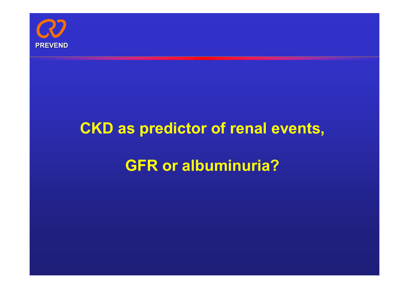

# **CKD as predictor of renal events, GFR or albuminuria?**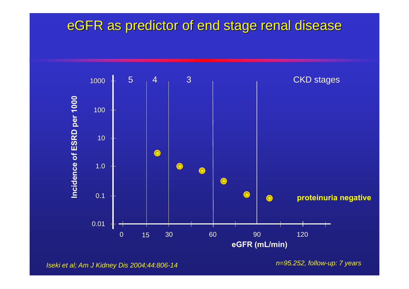### eGFR as predictor of end stage renal disease



*Iseki et al; Am J Kidney Dis 2004;44:806-14* 

*n=95.252, follow-up: 7 years*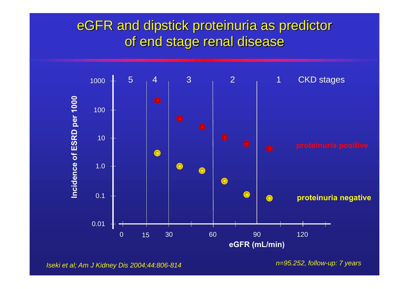## eGFR and dipstick proteinuria as predictor of end stage renal disease



*Iseki et al; Am J Kidney Dis 2004;44:806-814*

*n=95.252, follow-up: 7 years*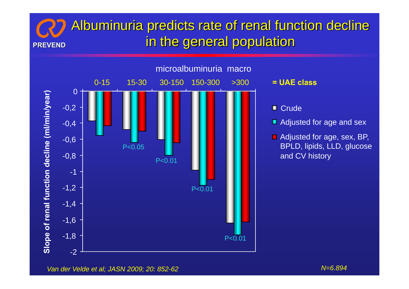#### **PREVEND**Albuminuria predicts rate of renal function decline in the general population





- 
- 
- 

*Van der Velde et al; JASN 2009; 20: 852-62 N=6.894*

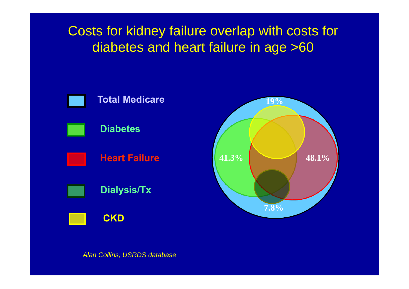Costs for kidney failure overlap with costs for diabetes and heart failure in age >60



*Alan Collins, USRDS database*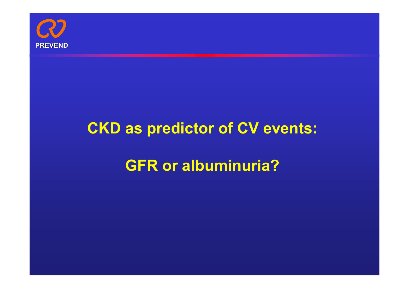

# **CKD as predictor of CV events: GFR or albuminuria?**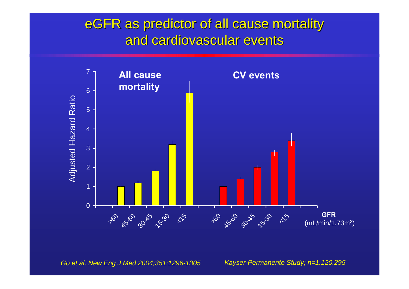## eGFR as predictor of all cause mortality and cardiovascular events



*Go et al, New Eng J Med 2004;351:1296-1305 Kayser-Permanente Study; n=1.120.295*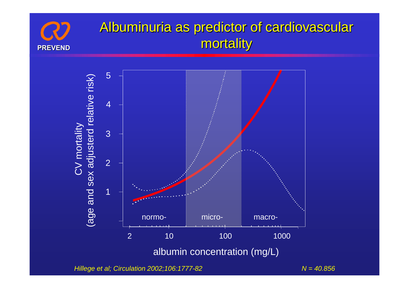

# Albuminuria as predictor of cardiovascular mortality



*Hillege et al; Circulation 2002;106:1777-82 N = 40.856*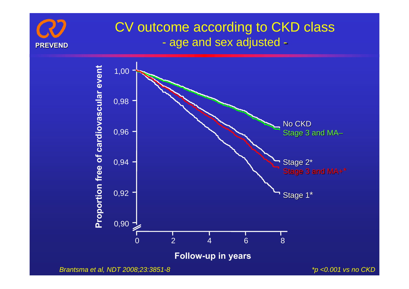

#### CV outcome according to CKD class  $\mathcal{L}_{\mathcal{A}}$ age and sex adjusted -



*\*p <0.001 vs no CKD*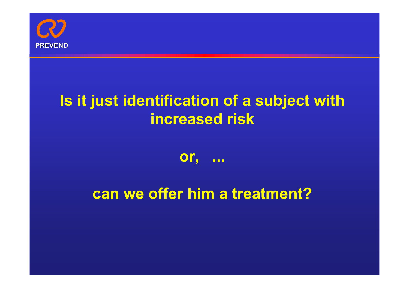

# **Is it just identification of a subject with increased risk**

### **or, ...**

# **can we offer him a treatment?**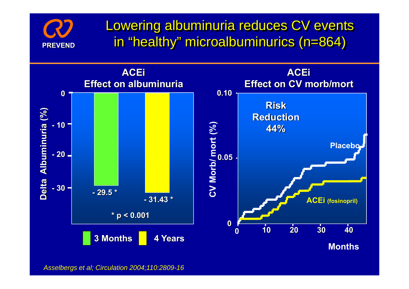

Lowering albuminuria reduces CV events in "healthy" microalbuminurics (n=864)



*Asselbergs et al; Circulation 2004;110:2809-16*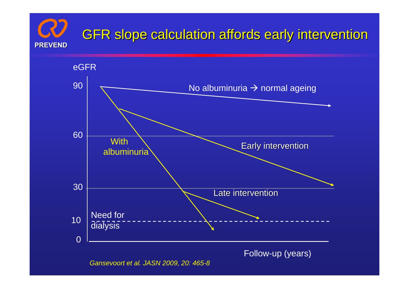# GFR slope calculation affords early intervention **PREVEND**



*Gansevoort et al. JASN 2009, 20: 465-8*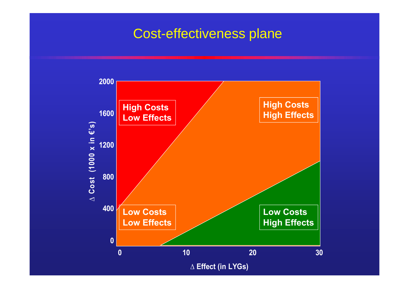### Cost-effectiveness plane

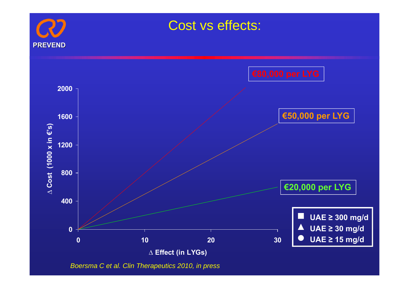

Cost vs effects:



*Boersma C et al. Clin Therapeutics 2010, in press*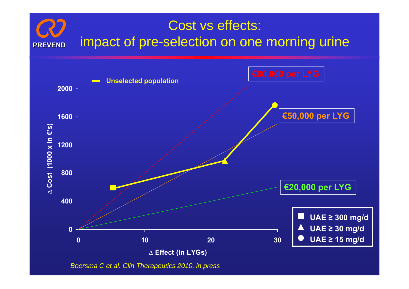



*Boersma C et al. Clin Therapeutics 2010, in press*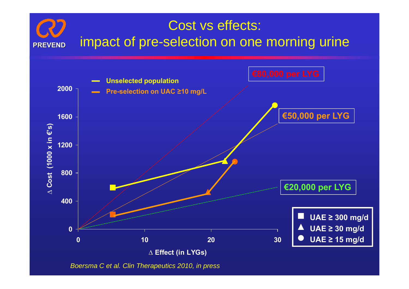#### Cost vs effects: **PREVEND**impact of pre-selection on one morning urine



*Boersma C et al. Clin Therapeutics 2010, in press*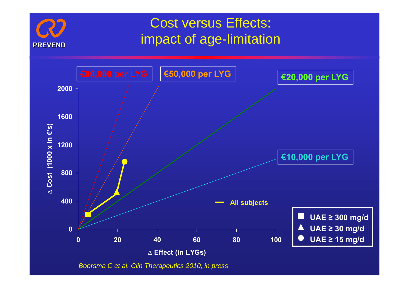

*Boersma C et al. Clin Therapeutics 2010, in press*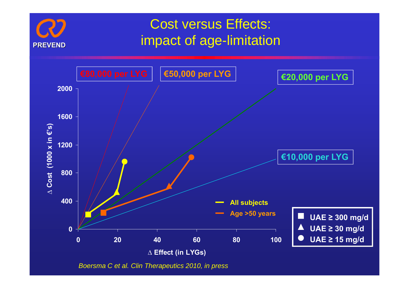

*Boersma C et al. Clin Therapeutics 2010, in press*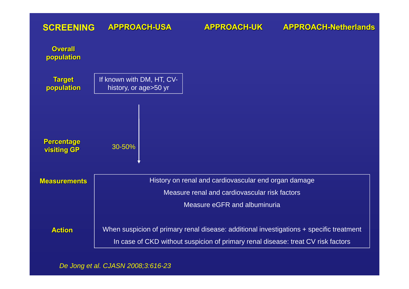#### **APPROACH-USA APPROACH-UKSCREENING**

| <b>Overall</b><br>population            |                                                                                         |
|-----------------------------------------|-----------------------------------------------------------------------------------------|
| <b>Target</b><br>population             | If known with DM, HT, CV-<br>history, or age>50 yr                                      |
| <b>Percentage</b><br><b>visiting GP</b> | 30-50%                                                                                  |
|                                         |                                                                                         |
| <b>Measurements</b>                     | History on renal and cardiovascular end organ damage                                    |
|                                         | Measure renal and cardiovascular risk factors                                           |
|                                         | Measure eGFR and albuminuria                                                            |
| <b>Action</b>                           | When suspicion of primary renal disease: additional investigations + specific treatment |
|                                         | In case of CKD without suspicion of primary renal disease: treat CV risk factors        |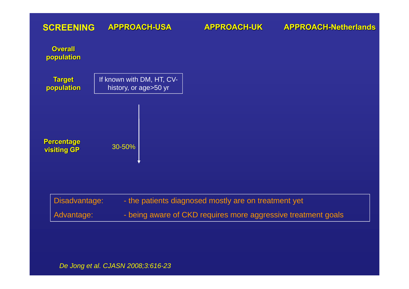#### **APPROACH-USA APPROACH-UKSCREENING**

| <b>Overall</b><br>population     |                                                    |                                                               |
|----------------------------------|----------------------------------------------------|---------------------------------------------------------------|
| <b>Target</b><br>population      | If known with DM, HT, CV-<br>history, or age>50 yr |                                                               |
| Percentage<br><b>visiting GP</b> | 30-50%                                             |                                                               |
| Disadvantage:                    |                                                    | - the patients diagnosed mostly are on treatment yet          |
| Advantage:                       |                                                    | - being aware of CKD requires more aggressive treatment goals |
|                                  |                                                    |                                                               |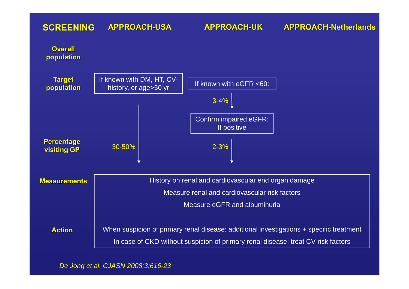#### **APPROACH-USASCREENING**

#### **APPROACH-UK**

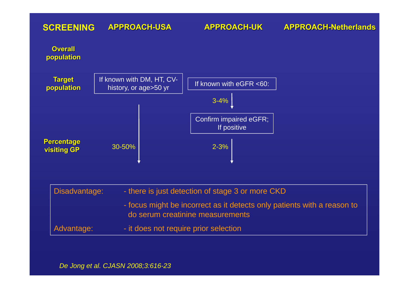#### **APPROACH-USASCREENING**

#### **APPROACH-UK**



| Disadvantage: | - there is just detection of stage 3 or more CKD                                                            |
|---------------|-------------------------------------------------------------------------------------------------------------|
|               | - focus might be incorrect as it detects only patients with a reason to<br>do serum creatinine measurements |
| Advantage:    | - it does not require prior selection                                                                       |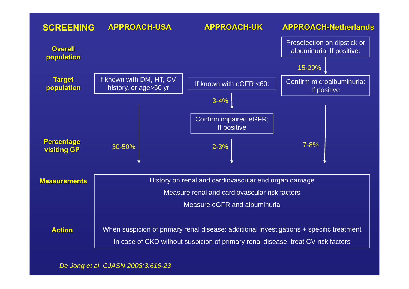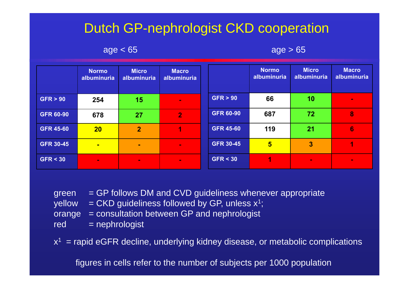# Dutch GP-nephrologist CKD cooperation

 $age < 65$  age  $> 65$ 

|                  | <b>Normo</b><br>albuminuria | <b>Micro</b><br>albuminuria | <b>Macro</b><br>albuminuria |                  | <b>Normo</b><br>albuminuria | <b>Micro</b><br>albuminuria | <b>Macro</b><br>albuminuria |
|------------------|-----------------------------|-----------------------------|-----------------------------|------------------|-----------------------------|-----------------------------|-----------------------------|
| GFR > 90         | 254                         | 15                          | $\mathbf{m}$                | GFR > 90         | 66                          | 10                          | $\sim$                      |
| <b>GFR 60-90</b> | 678                         | 27                          | $\overline{2}$              | <b>GFR 60-90</b> | 687                         | 72                          | 8                           |
| <b>GFR 45-60</b> | 20                          | $\overline{2}$              | 4                           | <b>GFR 45-60</b> | 119                         | 21                          | $6\phantom{1}6$             |
| <b>GFR 30-45</b> | $\blacksquare$              | $\sim$                      | $\mathbf{m}$                | <b>GFR 30-45</b> | $5\overline{5}$             | 3                           |                             |
| GFR < 30         | $\sim$                      | $\sim$                      | $\blacksquare$              | GFR < 30         | T.                          | $\blacksquare$              | $\mathbf{r}$                |

| <b>areen</b> | $=$ GP follows DM and CVD quideliness whenever appropriate     |
|--------------|----------------------------------------------------------------|
|              | yellow = $CKD$ quideliness followed by GP, unless $x^1$ ;      |
|              | $orange = constant$ = consultation between GP and nephrologist |
| red          | $=$ nephrologist                                               |

 $x^1$  = rapid eGFR decline, underlying kidney disease, or metabolic complications

figures in cells refer to the number of subjects per 1000 population